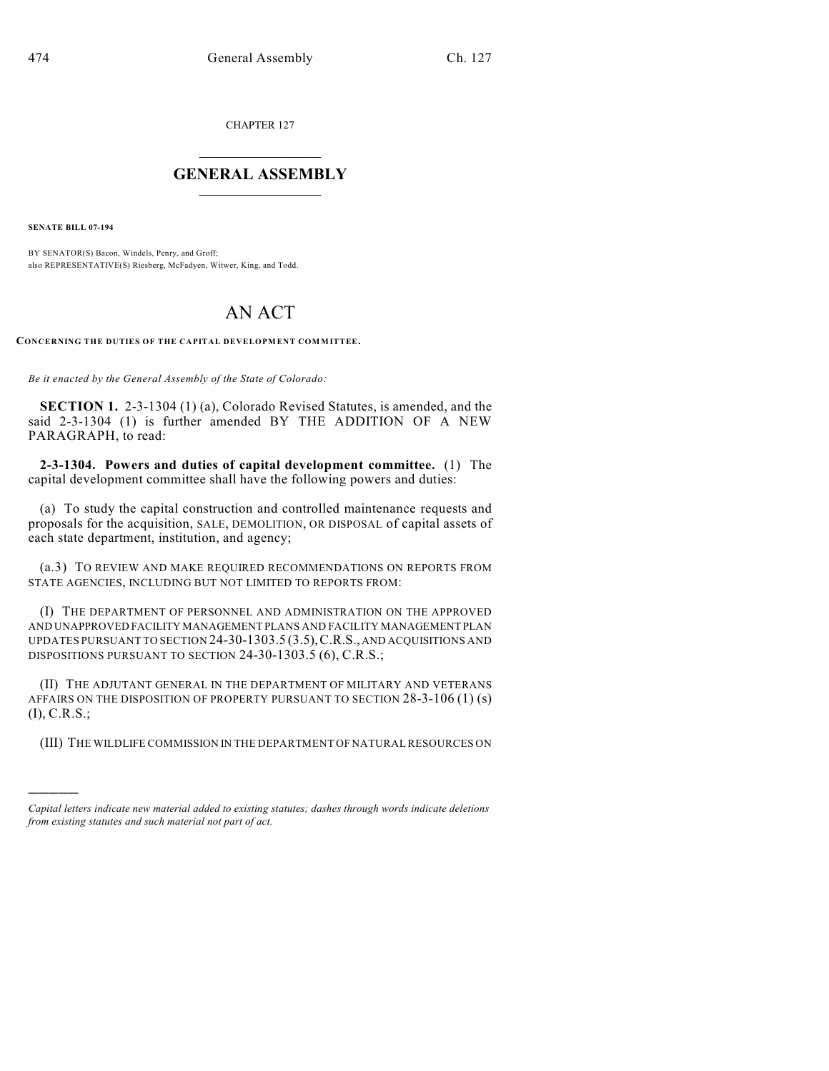CHAPTER 127

## $\mathcal{L}_\text{max}$  . The set of the set of the set of the set of the set of the set of the set of the set of the set of the set of the set of the set of the set of the set of the set of the set of the set of the set of the set **GENERAL ASSEMBLY**  $\frac{1}{\sqrt{2}}$

**SENATE BILL 07-194**

)))))

BY SENATOR(S) Bacon, Windels, Penry, and Groff; also REPRESENTATIVE(S) Riesberg, McFadyen, Witwer, King, and Todd.

## AN ACT

CONCERNING THE DUTIES OF THE CAPITAL DEVELOPMENT COMMITTEE.

*Be it enacted by the General Assembly of the State of Colorado:*

**SECTION 1.** 2-3-1304 (1) (a), Colorado Revised Statutes, is amended, and the said 2-3-1304 (1) is further amended BY THE ADDITION OF A NEW PARAGRAPH, to read:

**2-3-1304. Powers and duties of capital development committee.** (1) The capital development committee shall have the following powers and duties:

(a) To study the capital construction and controlled maintenance requests and proposals for the acquisition, SALE, DEMOLITION, OR DISPOSAL of capital assets of each state department, institution, and agency;

(a.3) TO REVIEW AND MAKE REQUIRED RECOMMENDATIONS ON REPORTS FROM STATE AGENCIES, INCLUDING BUT NOT LIMITED TO REPORTS FROM:

(I) THE DEPARTMENT OF PERSONNEL AND ADMINISTRATION ON THE APPROVED AND UNAPPROVED FACILITY MANAGEMENT PLANS AND FACILITY MANAGEMENT PLAN UPDATES PURSUANT TO SECTION 24-30-1303.5 (3.5),C.R.S., AND ACQUISITIONS AND DISPOSITIONS PURSUANT TO SECTION 24-30-1303.5 (6), C.R.S.;

(II) THE ADJUTANT GENERAL IN THE DEPARTMENT OF MILITARY AND VETERANS AFFAIRS ON THE DISPOSITION OF PROPERTY PURSUANT TO SECTION 28-3-106 (1) (s) (I), C.R.S.;

(III) THE WILDLIFE COMMISSION IN THE DEPARTMENT OF NATURAL RESOURCES ON

*Capital letters indicate new material added to existing statutes; dashes through words indicate deletions from existing statutes and such material not part of act.*